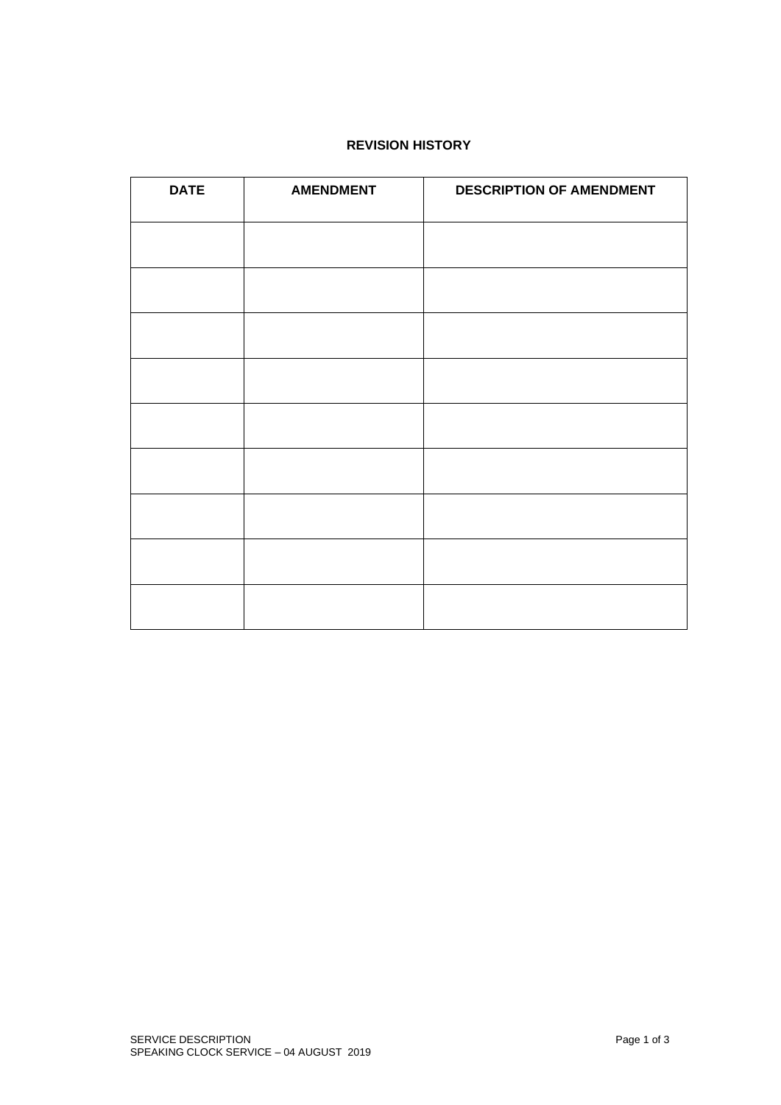# **REVISION HISTORY**

| <b>DATE</b> | <b>AMENDMENT</b> | <b>DESCRIPTION OF AMENDMENT</b> |
|-------------|------------------|---------------------------------|
|             |                  |                                 |
|             |                  |                                 |
|             |                  |                                 |
|             |                  |                                 |
|             |                  |                                 |
|             |                  |                                 |
|             |                  |                                 |
|             |                  |                                 |
|             |                  |                                 |
|             |                  |                                 |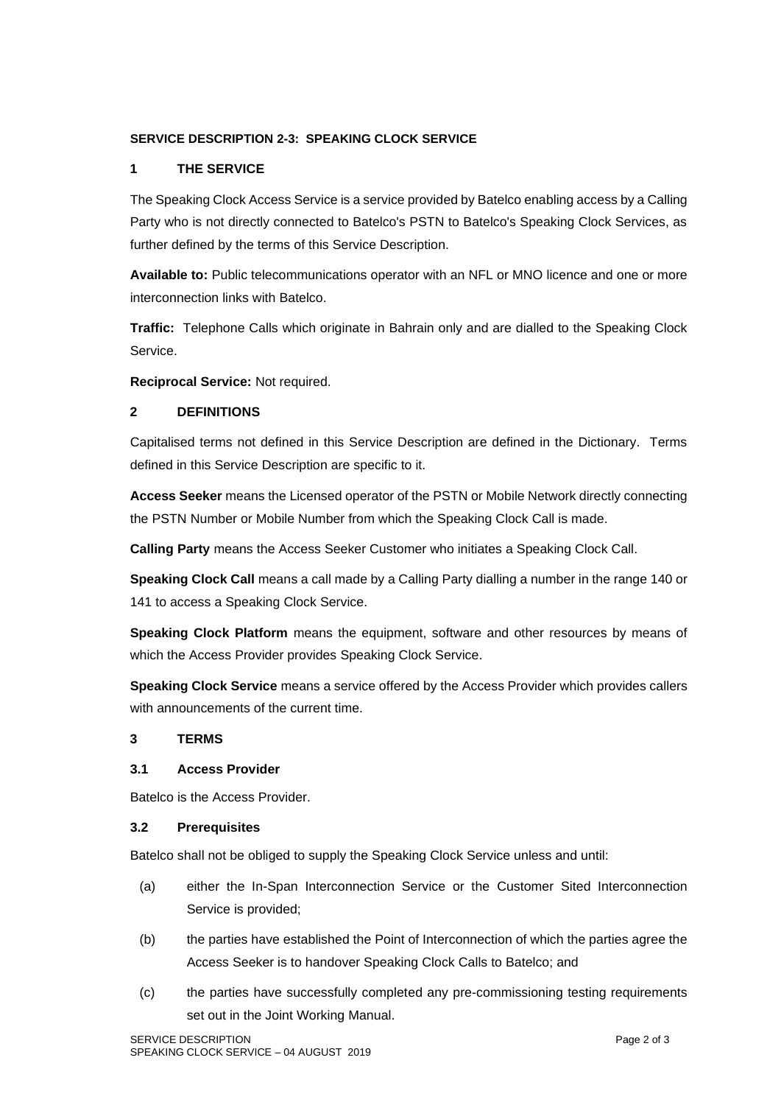# **SERVICE DESCRIPTION 2-3: SPEAKING CLOCK SERVICE**

# **1 THE SERVICE**

The Speaking Clock Access Service is a service provided by Batelco enabling access by a Calling Party who is not directly connected to Batelco's PSTN to Batelco's Speaking Clock Services, as further defined by the terms of this Service Description.

**Available to:** Public telecommunications operator with an NFL or MNO licence and one or more interconnection links with Batelco.

**Traffic:** Telephone Calls which originate in Bahrain only and are dialled to the Speaking Clock Service.

**Reciprocal Service:** Not required.

## **2 DEFINITIONS**

Capitalised terms not defined in this Service Description are defined in the Dictionary. Terms defined in this Service Description are specific to it.

**Access Seeker** means the Licensed operator of the PSTN or Mobile Network directly connecting the PSTN Number or Mobile Number from which the Speaking Clock Call is made.

**Calling Party** means the Access Seeker Customer who initiates a Speaking Clock Call.

**Speaking Clock Call** means a call made by a Calling Party dialling a number in the range 140 or 141 to access a Speaking Clock Service.

**Speaking Clock Platform** means the equipment, software and other resources by means of which the Access Provider provides Speaking Clock Service.

**Speaking Clock Service** means a service offered by the Access Provider which provides callers with announcements of the current time.

## **3 TERMS**

#### **3.1 Access Provider**

Batelco is the Access Provider.

#### **3.2 Prerequisites**

Batelco shall not be obliged to supply the Speaking Clock Service unless and until:

- (a) either the In-Span Interconnection Service or the Customer Sited Interconnection Service is provided;
- (b) the parties have established the Point of Interconnection of which the parties agree the Access Seeker is to handover Speaking Clock Calls to Batelco; and
- (c) the parties have successfully completed any pre-commissioning testing requirements set out in the Joint Working Manual.